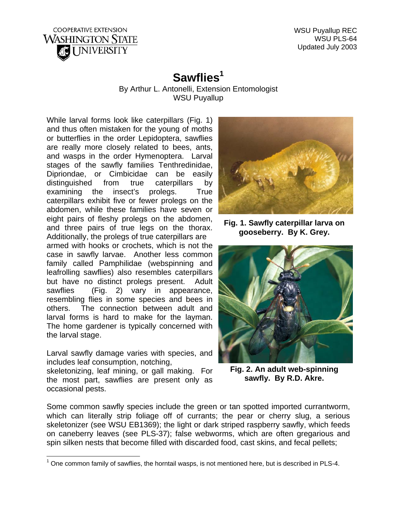

WSU Puyallup REC WSU PLS-64 Updated July 2003

## Sawflies<sup>1</sup>

By Arthur L. Antonelli, Extension Entomologist WSU Puyallup

While larval forms look like caterpillars (Fig. 1) and thus often mistaken for the young of moths or butterflies in the order Lepidoptera, sawflies are really more closely related to bees, ants, and wasps in the order Hymenoptera. Larval stages of the sawfly families Tenthredinidae, Dipriondae, or Cimbicidae can be easily distinguished from true caterpillars by examining the insect's prolegs. True caterpillars exhibit five or fewer prolegs on the abdomen, while these families have seven or eight pairs of fleshy prolegs on the abdomen, and three pairs of true legs on the thorax. Additionally, the prolegs of true caterpillars are armed with hooks or crochets, which is not the case in sawfly larvae. Another less common family called Pamphilidae (webspinning and leafrolling sawflies) also resembles caterpillars but have no distinct prolegs present. Adult sawflies (Fig. 2) vary in appearance, resembling flies in some species and bees in others. The connection between adult and larval forms is hard to make for the layman. The home gardener is typically concerned with the larval stage.

Larval sawfly damage varies with species, and includes leaf consumption, notching, **Fig. 2. An adult web-spinning**  skeletonizing, leaf mining, or gall making. For

the most part, sawflies are present only as occasional pests.



**Fig. 1. Sawfly caterpillar larva on gooseberry. By K. Grey.** 



**sawfly. By R.D. Akre.** 

Some common sawfly species include the green or tan spotted imported currantworm, which can literally strip foliage off of currants; the pear or cherry slug, a serious skeletonizer (see WSU EB1369); the light or dark striped raspberry sawfly, which feeds on caneberry leaves (see PLS-37); false webworms, which are often gregarious and spin silken nests that become filled with discarded food, cast skins, and fecal pellets;

<span id="page-0-0"></span><sup>————————————————————&</sup>lt;br><sup>1</sup> One common family of sawflies, the horntail wasps, is not mentioned here, but is described in PLS-4.